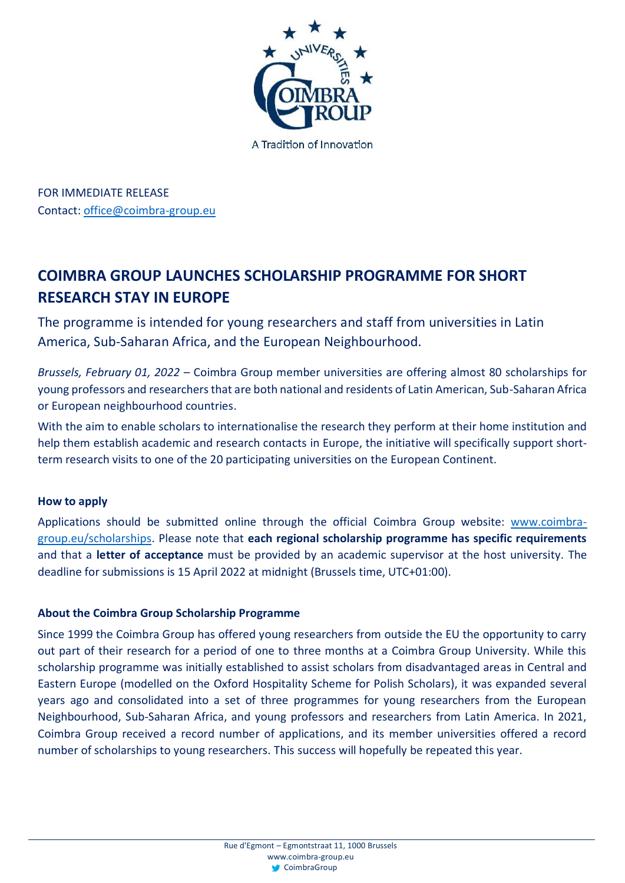

FOR IMMEDIATE RELEASE Contact: [office@coimbra-group.eu](mailto:office@coimbra-group.eu)

## **COIMBRA GROUP LAUNCHES SCHOLARSHIP PROGRAMME FOR SHORT RESEARCH STAY IN EUROPE**

The programme is intended for young researchers and staff from universities in Latin America, Sub-Saharan Africa, and the European Neighbourhood.

*Brussels, February 01, 2022* – Coimbra Group member universities are offering almost 80 scholarships for young professors and researchers that are both national and residents of Latin American, Sub-Saharan Africa or European neighbourhood countries.

With the aim to enable scholars to internationalise the research they perform at their home institution and help them establish academic and research contacts in Europe, the initiative will specifically support shortterm research visits to one of the 20 participating universities on the European Continent.

## **How to apply**

Applications should be submitted online through the official Coimbra Group website: [www.coimbra](https://www.coimbra-group.eu/scholarships/)[group.eu/scholarships.](https://www.coimbra-group.eu/scholarships/) Please note that **each regional scholarship programme has specific requirements** and that a **letter of acceptance** must be provided by an academic supervisor at the host university. The deadline for submissions is 15 April 2022 at midnight (Brussels time, UTC+01:00).

## **About the Coimbra Group Scholarship Programme**

Since 1999 the Coimbra Group has offered young researchers from outside the EU the opportunity to carry out part of their research for a period of one to three months at a Coimbra Group University. While this scholarship programme was initially established to assist scholars from disadvantaged areas in Central and Eastern Europe (modelled on the Oxford Hospitality Scheme for Polish Scholars), it was expanded several years ago and consolidated into a set of three programmes for young researchers from the European Neighbourhood, Sub-Saharan Africa, and young professors and researchers from Latin America. In 2021, Coimbra Group received a record number of applications, and its member universities offered a record number of scholarships to young researchers. This success will hopefully be repeated this year.